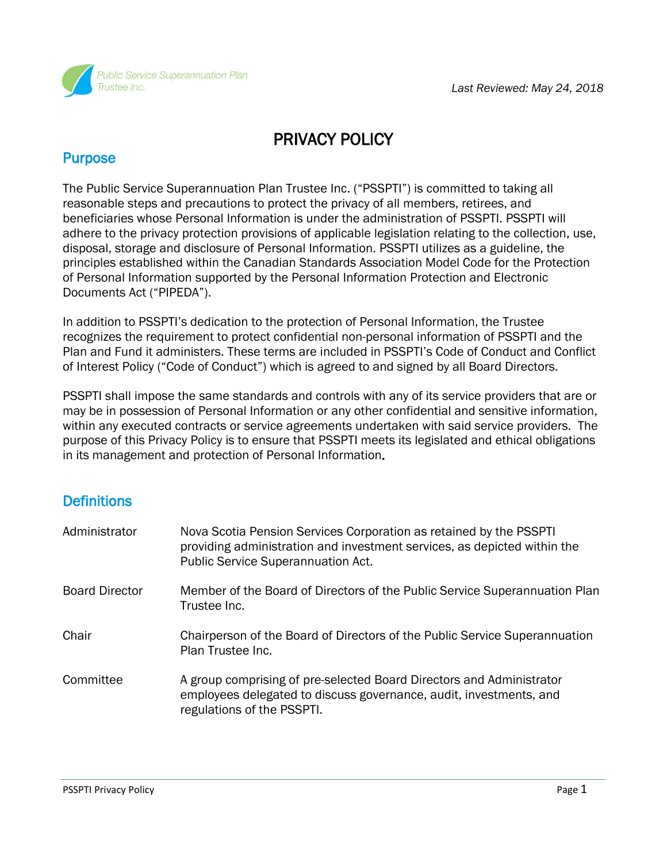

# PRIVACY POLICY

# **Purpose**

The Public Service Superannuation Plan Trustee Inc. ("PSSPTI") is committed to taking all reasonable steps and precautions to protect the privacy of all members, retirees, and beneficiaries whose Personal Information is under the administration of PSSPTI. PSSPTI will adhere to the privacy protection provisions of applicable legislation relating to the collection, use, disposal, storage and disclosure of Personal Information. PSSPTI utilizes as a guideline, the principles established within the Canadian Standards Association Model Code for the Protection of Personal Information supported by the Personal Information Protection and Electronic Documents Act ("PIPEDA").

In addition to PSSPTI's dedication to the protection of Personal Information, the Trustee recognizes the requirement to protect confidential non-personal information of PSSPTI and the Plan and Fund it administers. These terms are included in PSSPTI's Code of Conduct and Conflict of Interest Policy ("Code of Conduct") which is agreed to and signed by all Board Directors.

PSSPTI shall impose the same standards and controls with any of its service providers that are or may be in possession of Personal Information or any other confidential and sensitive information, within any executed contracts or service agreements undertaken with said service providers. The purpose of this Privacy Policy is to ensure that PSSPTI meets its legislated and ethical obligations in its management and protection of Personal Information.

# **Definitions**

| Administrator         | Nova Scotia Pension Services Corporation as retained by the PSSPTI<br>providing administration and investment services, as depicted within the<br>Public Service Superannuation Act. |
|-----------------------|--------------------------------------------------------------------------------------------------------------------------------------------------------------------------------------|
| <b>Board Director</b> | Member of the Board of Directors of the Public Service Superannuation Plan<br>Trustee Inc.                                                                                           |
| Chair                 | Chairperson of the Board of Directors of the Public Service Superannuation<br>Plan Trustee Inc.                                                                                      |
| Committee             | A group comprising of pre-selected Board Directors and Administrator<br>employees delegated to discuss governance, audit, investments, and<br>regulations of the PSSPTI.             |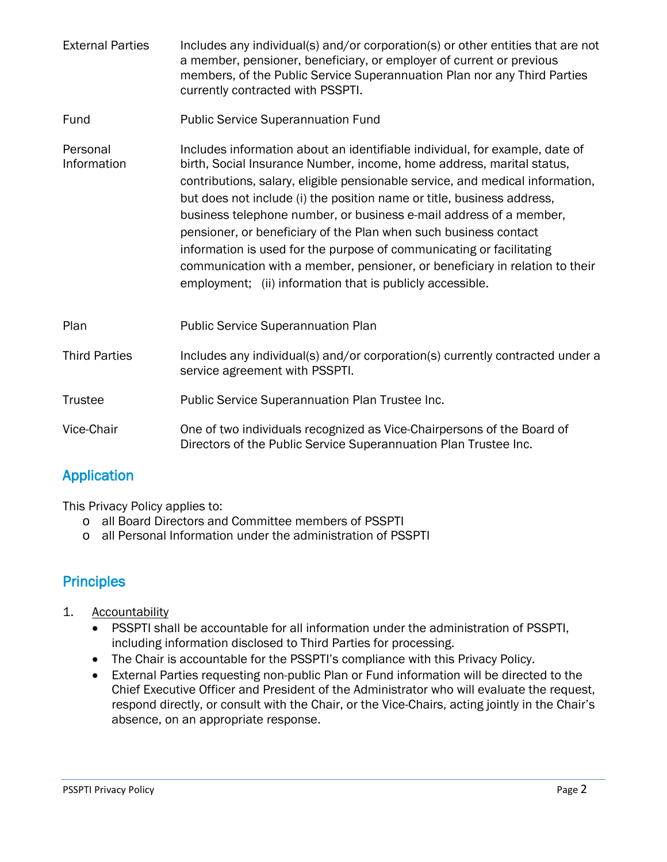- External Parties Includes any individual(s) and/or corporation(s) or other entities that are not a member, pensioner, beneficiary, or employer of current or previous members, of the Public Service Superannuation Plan nor any Third Parties currently contracted with PSSPTI.
- Fund Public Service Superannuation Fund
- Personal **Includes information about an identifiable individual, for example, date of** Information birth, Social Insurance Number, income, home address, marital status, contributions, salary, eligible pensionable service, and medical information, but does not include (i) the position name or title, business address, business telephone number, or business e-mail address of a member, pensioner, or beneficiary of the Plan when such business contact information is used for the purpose of communicating or facilitating communication with a member, pensioner, or beneficiary in relation to their employment; (ii) information that is publicly accessible.
- Plan Public Service Superannuation Plan Third Parties Includes any individual(s) and/or corporation(s) currently contracted under a service agreement with PSSPTI. Trustee Public Service Superannuation Plan Trustee Inc. Vice-Chair One of two individuals recognized as Vice-Chairpersons of the Board of Directors of the Public Service Superannuation Plan Trustee Inc.

# Application

This Privacy Policy applies to:

- o all Board Directors and Committee members of PSSPTI
- o all Personal Information under the administration of PSSPTI

# **Principles**

- 1. Accountability
	- PSSPTI shall be accountable for all information under the administration of PSSPTI, including information disclosed to Third Parties for processing.
	- The Chair is accountable for the PSSPTI's compliance with this Privacy Policy.
	- External Parties requesting non-public Plan or Fund information will be directed to the Chief Executive Officer and President of the Administrator who will evaluate the request, respond directly, or consult with the Chair, or the Vice-Chairs, acting jointly in the Chair's absence, on an appropriate response.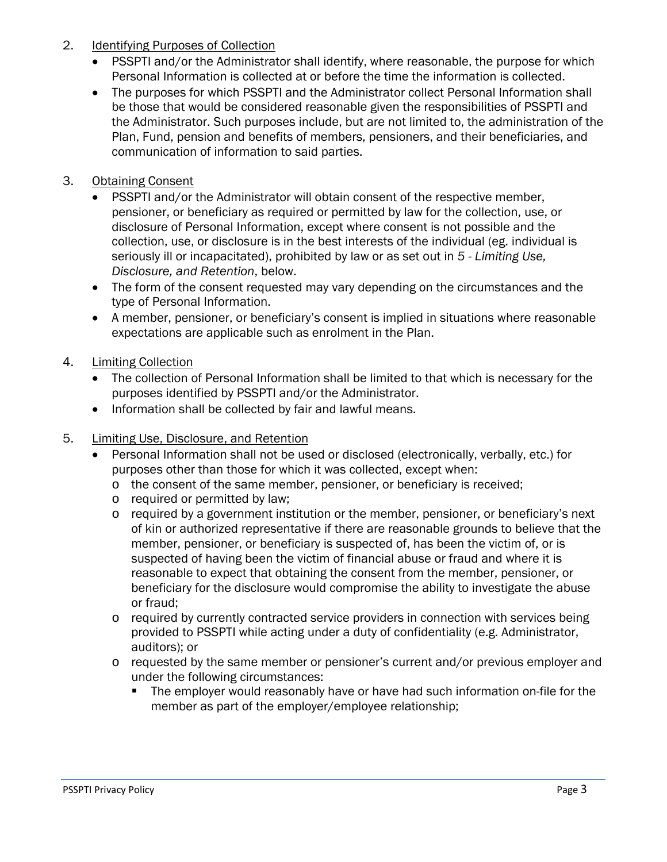- 2. Identifying Purposes of Collection
	- PSSPTI and/or the Administrator shall identify, where reasonable, the purpose for which Personal Information is collected at or before the time the information is collected.
	- The purposes for which PSSPTI and the Administrator collect Personal Information shall be those that would be considered reasonable given the responsibilities of PSSPTI and the Administrator. Such purposes include, but are not limited to, the administration of the Plan, Fund, pension and benefits of members, pensioners, and their beneficiaries, and communication of information to said parties.
- 3. Obtaining Consent
	- PSSPTI and/or the Administrator will obtain consent of the respective member, pensioner, or beneficiary as required or permitted by law for the collection, use, or disclosure of Personal Information, except where consent is not possible and the collection, use, or disclosure is in the best interests of the individual (eg. individual is seriously ill or incapacitated), prohibited by law or as set out in *5 - Limiting Use, Disclosure, and Retention*, below.
	- The form of the consent requested may vary depending on the circumstances and the type of Personal Information.
	- A member, pensioner, or beneficiary's consent is implied in situations where reasonable expectations are applicable such as enrolment in the Plan.
- 4. Limiting Collection
	- The collection of Personal Information shall be limited to that which is necessary for the purposes identified by PSSPTI and/or the Administrator.
	- Information shall be collected by fair and lawful means.
- 5. Limiting Use, Disclosure, and Retention
	- Personal Information shall not be used or disclosed (electronically, verbally, etc.) for purposes other than those for which it was collected, except when:
		- o the consent of the same member, pensioner, or beneficiary is received;
		- o required or permitted by law;
		- o required by a government institution or the member, pensioner, or beneficiary's next of kin or authorized representative if there are reasonable grounds to believe that the member, pensioner, or beneficiary is suspected of, has been the victim of, or is suspected of having been the victim of financial abuse or fraud and where it is reasonable to expect that obtaining the consent from the member, pensioner, or beneficiary for the disclosure would compromise the ability to investigate the abuse or fraud;
		- o required by currently contracted service providers in connection with services being provided to PSSPTI while acting under a duty of confidentiality (e.g. Administrator, auditors); or
		- o requested by the same member or pensioner's current and/or previous employer and under the following circumstances:
			- The employer would reasonably have or have had such information on-file for the member as part of the employer/employee relationship;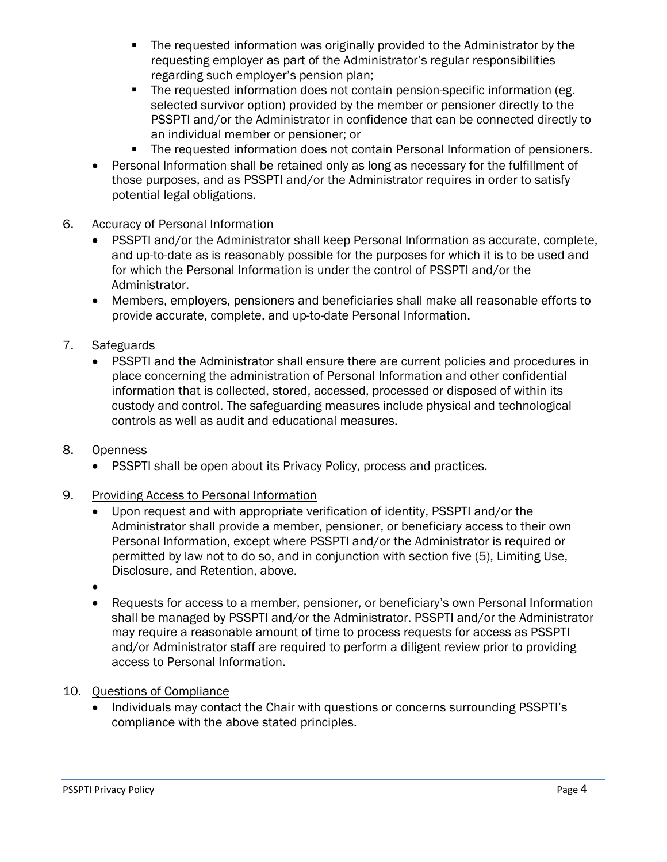- The requested information was originally provided to the Administrator by the requesting employer as part of the Administrator's regular responsibilities regarding such employer's pension plan;
- **The requested information does not contain pension-specific information (eg.** selected survivor option) provided by the member or pensioner directly to the PSSPTI and/or the Administrator in confidence that can be connected directly to an individual member or pensioner; or
- **The requested information does not contain Personal Information of pensioners.**
- Personal Information shall be retained only as long as necessary for the fulfillment of those purposes, and as PSSPTI and/or the Administrator requires in order to satisfy potential legal obligations.

#### 6. Accuracy of Personal Information

- PSSPTI and/or the Administrator shall keep Personal Information as accurate, complete, and up-to-date as is reasonably possible for the purposes for which it is to be used and for which the Personal Information is under the control of PSSPTI and/or the Administrator.
- Members, employers, pensioners and beneficiaries shall make all reasonable efforts to provide accurate, complete, and up-to-date Personal Information.

#### 7. Safeguards

• PSSPTI and the Administrator shall ensure there are current policies and procedures in place concerning the administration of Personal Information and other confidential information that is collected, stored, accessed, processed or disposed of within its custody and control. The safeguarding measures include physical and technological controls as well as audit and educational measures.

#### 8. Openness

• PSSPTI shall be open about its Privacy Policy, process and practices.

#### 9. Providing Access to Personal Information

- Upon request and with appropriate verification of identity, PSSPTI and/or the Administrator shall provide a member, pensioner, or beneficiary access to their own Personal Information, except where PSSPTI and/or the Administrator is required or permitted by law not to do so, and in conjunction with section five (5), Limiting Use, Disclosure, and Retention, above.
- •
- Requests for access to a member, pensioner, or beneficiary's own Personal Information shall be managed by PSSPTI and/or the Administrator. PSSPTI and/or the Administrator may require a reasonable amount of time to process requests for access as PSSPTI and/or Administrator staff are required to perform a diligent review prior to providing access to Personal Information.

#### 10. Questions of Compliance

• Individuals may contact the Chair with questions or concerns surrounding PSSPTI's compliance with the above stated principles.